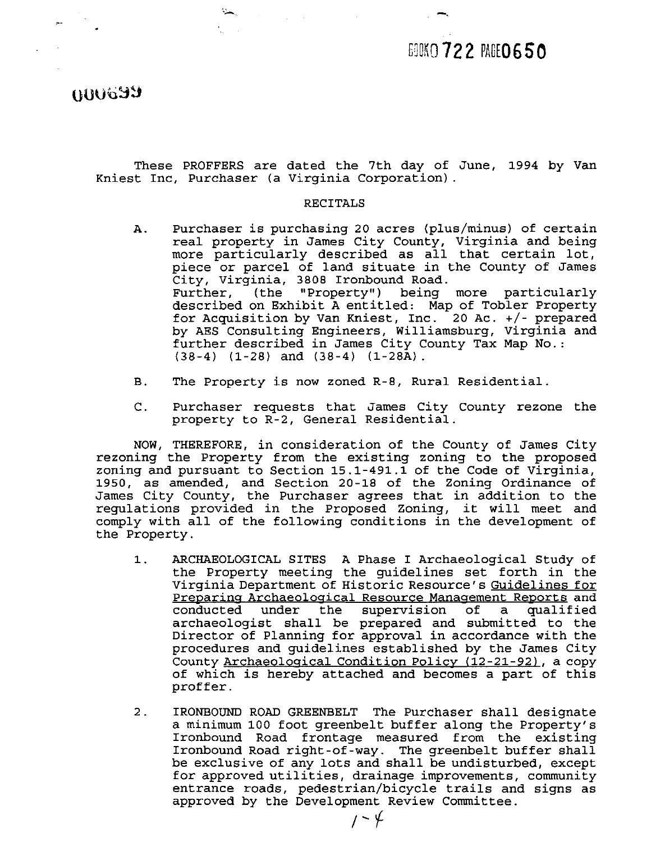## 690KO 722 PAGE0650

**GOOD NIII** 

These PROFFERS are dated the 7th day of June, 1994 by Van Kniest Inc, Purchaser (a Virginia Corporation).

#### RECITALS

- A. Purchaser is purchasing 20 acres (plus/minus) of certain real property in James City County, Virginia and being more particularly described as all that certain lot, piece or parcel of land situate in the County of James City, Virginia, 3808 Ironbound Road. Further, (the "Property") being more particularly described on Exhibit A entitled: Map of Tobler Property for Acquisition by Van Kniest, Inc. 20 Ac. +/- prepared by AES Consulting Engineers, Williamsburg, Virginia and further described in James City County Tax Map No.: (38-4) (1-28) and (38-4) (1-28A).
- B. The Property is now zoned R-8, Rural Residential
- C. Purchaser requests that James City County rezone the property to R-2, General Residential.

NOW, THEREFORE, in consideration of the County of James City rezoning the Property from the existing zoning to the proposed zoning and pursuant to Section 15.1-491.1 of the Code of Virginia, 1950, as amended, and Section 20-18 of the Zoning Ordinance of James City County, the Purchaser agrees that in addition to the regulations provided in the Proposed Zoning, it will meet and comply with all of the following conditions in the development of the Property.

- 1. ARCHAEOLOGICAL SITES A Phase I Archaeological Study of the Property meeting the guidelines set forth in the Virginia Department of Historic Resource's Guidelines for Preparing Archaeological Resource Management Reports and<br>conducted under the supervision of a qualified the supervision of a qualified archaeologist shall be prepared and submitted to the Director of Planning for approval in accordance with the procedures and guidelines established by the James City PAOVERNS are Gated the 'fin any or June, 1994 by van<br>
PAOVERNS are Gated the 'fin any or June, 1994 by van<br>
Rurchaser (a Virginia Corporation).<br>
Rurchaser is purchasing 20 acres (plus/minus) of certain<br>
real property in Ja of which is hereby attached and becomes a part of this proffer .
- 2. IRONBOUND ROAD GREENBELT The Purchaser shall designate a minimum 100 foot greenbelt buffer along the Property's Ironbound Road frontage measured from the existing Ironbound Road right-of-way. The greenbelt buffer shall be exclusive of any lots and shall be undisturbed, except for approved utilities, drainage improvements, community entrance roads, pedestrian/bicycle trails and signs as approved by the Development Review Committee.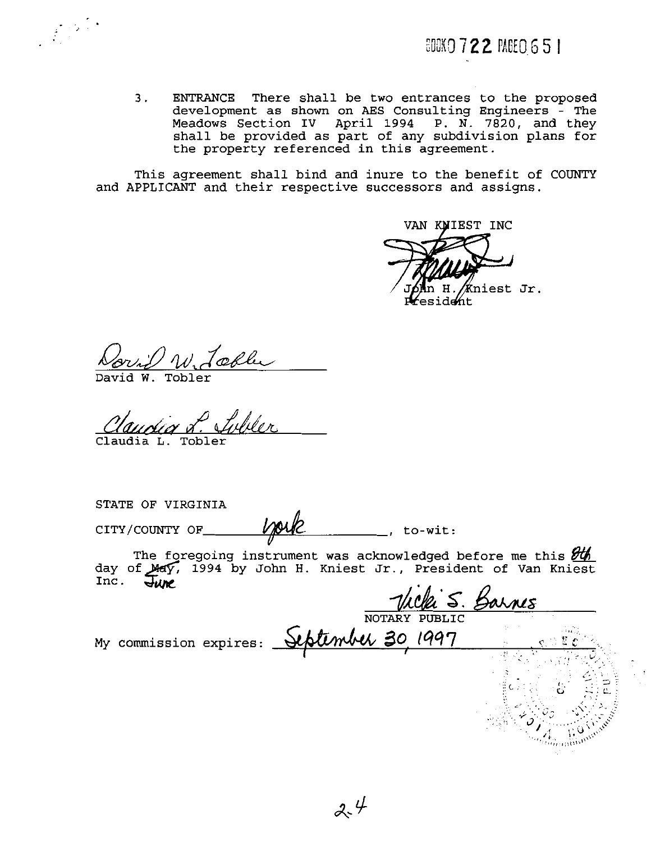3. ENTRANCE There shall be two entrances to the proposed development as shown on AES Consulting Engineers - The Meadows Section IV April 1994 P. N. 7820, and they shall be provided as part of any subdivision plans for the property referenced in this agreement.

This agreement shall bind and inure to the benefit of COUNTY and APPLICANT and their respective successors and assigns.

VAN WIEST INC niest Jr. dent

<u>Dorif W. Loo</u>

W. Tobler

Claudia L. T

STATE OF VIRGINIA

The foregoing instrument was acknowledged before me this  $\frac{\partial U}{\partial h}$ CITY/COUNTY OF <u>WOUR</u><br>
The foregoing instrument was acknowledged before me this  $\frac{\partial \mathcal{U}_h}{\partial \text{day of } \text{Mef}},$  1994 by John H. Kniest Jr., President of Van Kniest Inc.  $\frac{1}{4}$ 

1a S. Barnes . ; , , . ,. ." **!,U,.,,** . ..,: , .

NOTARY PUBLIC<br>My commission expires: September 30, 1997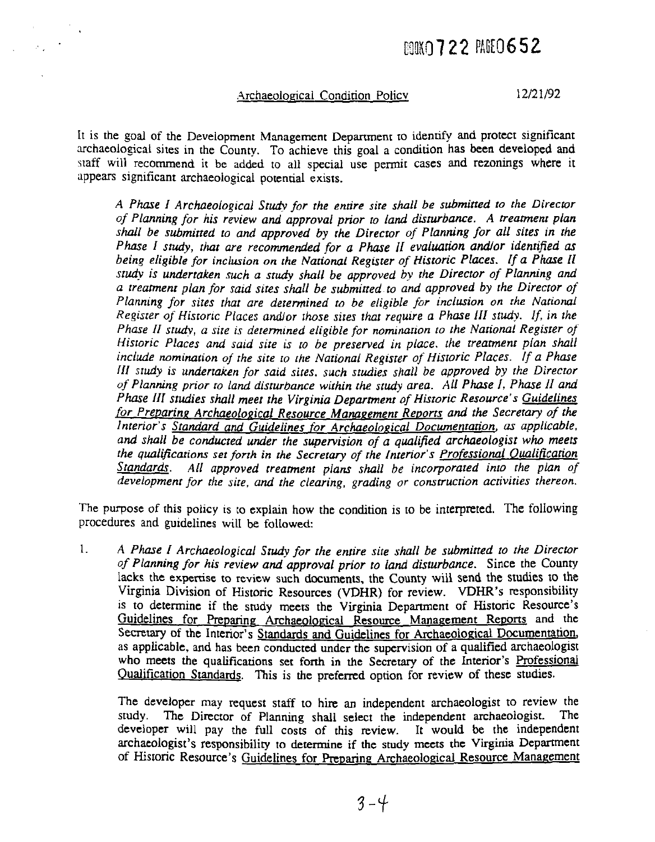# **BOOKO 722 PAGE 0652**

#### .Archaeoloeical Condirion Policv

12/21/92

It is the goal of the Development Management Department to identify and protect significant archaeological sites in the County. To achieve this goal a condition has been developed and staff will recommend it be added to all special use permit cases and rezonings where it appears significant archaeological potential exists.

*A Phase I Archaeological Study for the entire sire shall be submitted to the Direcror of Planning for his review and approval prior to land disturbance. A treamenr plan shall be submitted to and approved by the Director of Planning for all sites in the Phase I study, that are recommended for a Phase II evaluation and/or identified as being eligible for inclusion on the Narional Register of Historic Places.* **If** *a Phase* **I1**  study is undertaken such a study shall be approved by the Director of Planning and *a treatment plan for said sires shall be submined to and approved by the Direcfor of Ptanning for sires that are delemined to be eligible for inclusion on the National Register of Hisroric Places andlor ihose sires that require a Phase 1II study. If, in the Phase II studv, a sire is determined eligible for nomination to the National Regisrer of Hisroric Places and said sire is* ro *be preserved in place.* he *treatment plan shall include nomination of the site ro the National Register of' Historic Places. If a Phase III srudy is undertaken for said sites. such studies shall be approved by the Direcror of Planning prior ro land disturbance within the study area. All Phase 1, Phase If and Phase III studies shall meet the Virginia Department of Historic Resource's Guidelines*  for Preparing Archaeological Resource Management Reports and the Secretary of the *Interior's Standard and Guidelines for Archaeological Documentarion,* **as** *applicable,*  and shall be conducted under the supervision of a qualified archaeologist who meets *the qualijicarions set forth in the Secretary of the Interior's Professional Oualification*  Standards. All approved treatment plans shall be incorporated into the plan of *development for the sire, and the clearing, grading or construction activities thereon.* 

The purpose of this policy is to explain how the condition is to be interpreted. The following procedures and guidelines will be followed:

1. *A Phase I Archaeological Study for the entire sire shall be submitted to the Director of Planning for his review and approval prior to land disturbance.* Since the County lacks the expertise to review such documents, the County will send the studies to the Virginia Division of Historic Resources **(VDHR)** for review. VDHR's responsibility is to determine if the srudy meets the Virginia Department of Historic Resource's Guidelines for Preparing Archaeological Resource Management Reports and the Secretary of the Interior's Standards and Guidelines for Archaeological Documentation, as applicable, and has been conducted under the supervision of a qualified archaeologist who meets the qualifications set forth in the Secretary of the Interior's Professional Qualification Standards. This is the preferred option for review of these studies.

The developer may request staff to hire an independent archaeologist to review the study. The Director of Planning shall select the independent archaeologist. The The Director of Planning shall select the independent archaeologist. developer will pay the full costs of this review. It would be the independent archaeologist's responsibility to determine if the study meets the Virginia Depamnent of Historic Resource's Guidelines for Preparing Archaeological Resource Management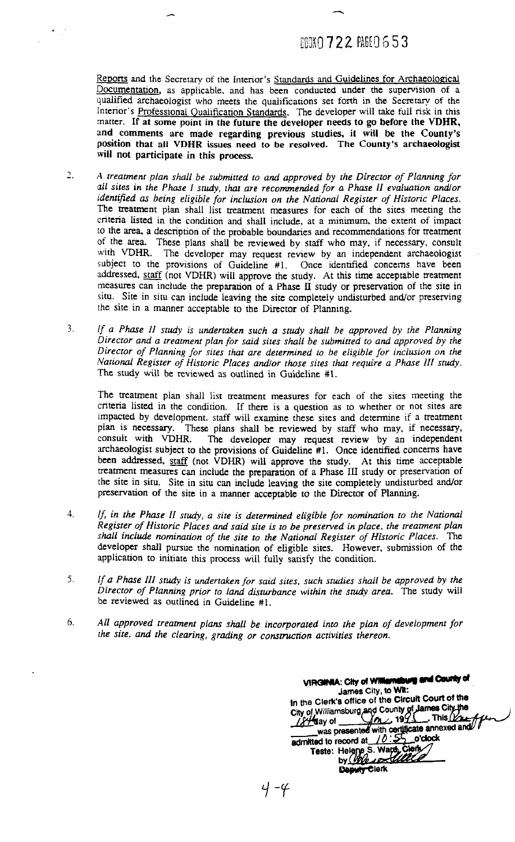### **ANKO 722 PAGEO 653**

Reports and the Secretary of the Interior's Standards and Guidelines for Archaeological Documentation, as applicable, and has been conducted under the supervision of a qualified archaeologist who meets the qualifications set forth in the Secretary of the Interior's Professional Qualification Standards. The developer will take full risk in this matter. If at some point in the future the developer needs to go before the VDHR, and comments are made regarding previous studies, it **will** be the County's position that all VDHR issues need to be resolved. **The** County's archaeologist **will** not participate in this process.

- *2.* **A** *treatment plan shall be submitted to and approved by the Direcror of Planning for*  ail *sires in the Phase I study, rhut ore recommended for a Phase II evaluation andlor identified as being eligible for inclusion on the National Register of Historic Places.* The treatment plan shall list treatment measures for each of the sites meeting the criteria listed in the condition and shall include, at a minimum, the extent of impact to the area, a description of the probable boundaries and recommendations for treatment of the area. These plans shall be reviewed by staff who may, if necessary, consult with VDHR. The developer may request review by an independent archaeologist The developer may request review by an independent archaeologist subject to the provisions of Guideline #l. Once identified concerns have been addressed, staff (not VDHR) will approve the study. **At** this time acceptable treatment measures can include the preparation of a Phase **I1** study or preservation of the site in situ. Site in situ can include leaving the site completely undisturbed and/or preserving the site in a manner acceptable to the Director of Planning.
- 3. *If a Phase 11 study is undertaken such a study shall be approved by the Planning Director and a treatment plan for said sites shall be submitted to and approved by the Direcror of Planning for sires rhar are derermined to be eligible for inclusion on the Narional Register of Historic Places andlor those sires rhar require a Phase 111 study.*  The study will be reviewed as outlined in Guideline #I.

The treatment plan shall list treatment measures for each of the sites meeting the criteria listed in the condition. If there is a question as to whether or not sites are impacted by development. staff will examine these sites and determine if a treatment plan is necessary. These plans shall be reviewed by staff who may, if necessary, consult with VDHR. The developer may request review by an independent The developer may request review by an independent archaeologist subject to the provisions of Guideline #l. Once identified concerns have been addressed, staff (not **VDHR)** will approve the study. At this time acceptable treatment measures can include the preparation of a Phase **111** study or preservation of the site in situ. Site in situ can include leaving the site completely undisturbed andlor preservation of the site in a manner acceptable to the Director of Planning.

- *3. If, in the Phase II srudy, a site is determined eligible for nomination to the National Regisrer of Historic Places and said site is to be preserved in place, the treatment plan*  shall include nomination of the site to the National Register of Historic Places. The developer shall pursue the nomination of eligible sites. However, submission of the application to initiate this process will fully satisfy the condition.
- **5.** *If a Phase III study is undertaken for said sites, such srudies shall be approved by the Director of Planning prior ro land disrurbance within the study area.* The study will be reviewed as outlined in Guideline #l.
- 6. All approved treatment plans shall be incorporated into the plan of development for *the site, and the clearing, grading or construction activities thereon.*

**ylFGINIA:** City of Williamsburg and County of<br>James City, to Wit:<br>In the Clerk's office of the Circuit Court of the<br>City of Williamsburg and County of James City the<br> $\frac{1874}{40}$ ay of<br>was presented with certificate annex **1, me Clerk's office of the ClrCUR Court Of the** Deputy Clerk